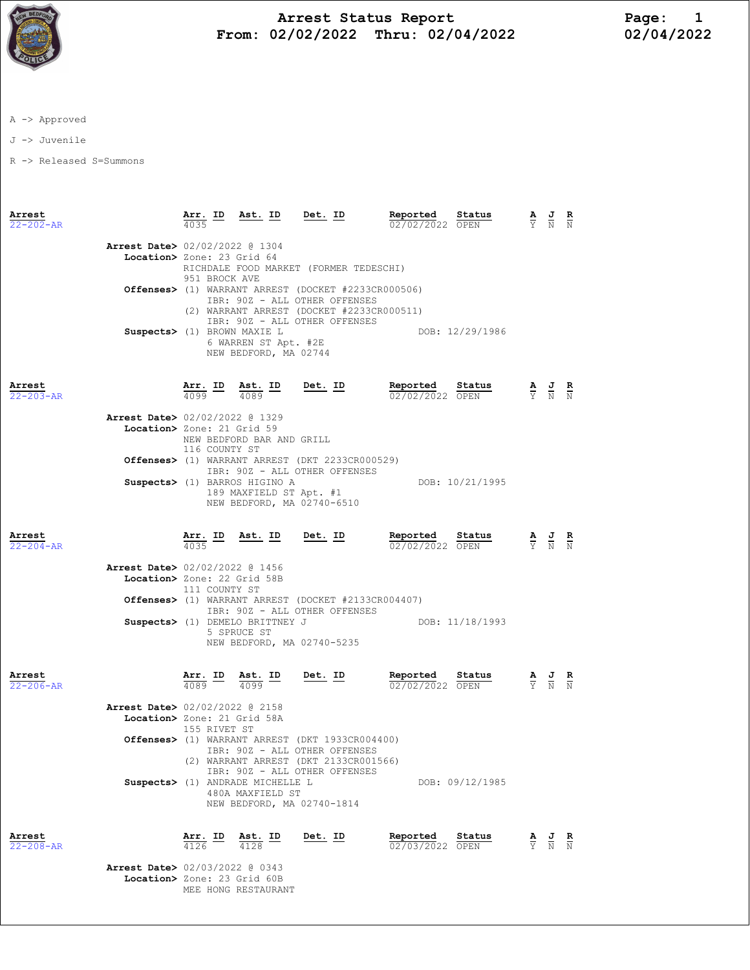

## Arrest Status Report Page: 1 From: 02/02/2022 Thru: 02/04/2022

A -> Approved

J -> Juvenile

R -> Released S=Summons

| Arrest<br>$22 - 202 - AR$ |                                                                         | Arr. ID<br>4035                 | Ast. ID Det. ID                                                                |                                                                                                                                                                              | Reported<br>02/02/2022 OPEN        | Status          | $\frac{\mathbf{A}}{\mathbf{Y}}$ $\frac{\mathbf{J}}{\mathbf{N}}$ $\frac{\mathbf{R}}{\mathbf{N}}$ |  |
|---------------------------|-------------------------------------------------------------------------|---------------------------------|--------------------------------------------------------------------------------|------------------------------------------------------------------------------------------------------------------------------------------------------------------------------|------------------------------------|-----------------|-------------------------------------------------------------------------------------------------|--|
|                           | Arrest Date> 02/02/2022 @ 1304<br>Location> Zone: 23 Grid 64            | 951 BROCK AVE                   |                                                                                | RICHDALE FOOD MARKET (FORMER TEDESCHI)                                                                                                                                       |                                    |                 |                                                                                                 |  |
|                           |                                                                         |                                 |                                                                                | <b>Offenses&gt;</b> (1) WARRANT ARREST (DOCKET #2233CR000506)<br>IBR: 90Z - ALL OTHER OFFENSES<br>(2) WARRANT ARREST (DOCKET #2233CR000511)<br>IBR: 90Z - ALL OTHER OFFENSES |                                    |                 |                                                                                                 |  |
|                           | Suspects> (1) BROWN MAXIE L                                             |                                 | 6 WARREN ST Apt. #2E<br>NEW BEDFORD, MA 02744                                  |                                                                                                                                                                              | DOB: 12/29/1986                    |                 |                                                                                                 |  |
| Arrest<br>$22 - 203 - AR$ |                                                                         | $\frac{\texttt{Arr.}}{4099}$ ID | Ast. ID $\frac{4089}{\sqrt{1089}}$                                             | $Det. ID$                                                                                                                                                                    | Reported<br>02/02/2022 OPEN        | Status          | $\frac{\mathbf{A}}{\mathbf{Y}}$ $\frac{\mathbf{J}}{\mathbf{N}}$ $\frac{\mathbf{R}}{\mathbf{N}}$ |  |
|                           | Arrest Date> 02/02/2022 @ 1329<br>Location> Zone: 21 Grid 59            | 116 COUNTY ST                   | NEW BEDFORD BAR AND GRILL                                                      |                                                                                                                                                                              |                                    |                 |                                                                                                 |  |
|                           |                                                                         |                                 | Suspects> (1) BARROS HIGINO A<br>189 MAXFIELD ST Apt. #1                       | Offenses> (1) WARRANT ARREST (DKT 2233CR000529)<br>IBR: 90Z - ALL OTHER OFFENSES<br>NEW BEDFORD, MA 02740-6510                                                               |                                    | DOB: 10/21/1995 |                                                                                                 |  |
| Arrest<br>$22 - 204 - AR$ |                                                                         | 4035                            |                                                                                | $\frac{\text{Arr.}}{4035}$ ID Ast. ID Det. ID                                                                                                                                | Reported Status<br>02/02/2022 OPEN |                 | $\frac{\mathbf{A}}{\mathbf{Y}}$ $\frac{\mathbf{J}}{\mathbf{N}}$ $\frac{\mathbf{R}}{\mathbf{N}}$ |  |
|                           | <b>Arrest Date&gt;</b> 02/02/2022 @ 1456<br>Location> Zone: 22 Grid 58B | 111 COUNTY ST                   | Suspects> (1) DEMELO BRITTNEY J<br>5 SPRUCE ST                                 | <b>Offenses&gt;</b> (1) WARRANT ARREST (DOCKET #2133CR004407)<br>IBR: 90Z - ALL OTHER OFFENSES                                                                               | DOB: 11/18/1993                    |                 |                                                                                                 |  |
| Arrest<br>22-206-AR       |                                                                         |                                 | $\frac{\text{Arr.}}{4089}$ $\frac{\text{lb}}{4099}$ $\frac{\text{Ast.}}{4099}$ | NEW BEDFORD, MA 02740-5235<br><u>Det.</u> ID                                                                                                                                 | Reported<br>02/02/2022 OPEN        | Status          | $\frac{\mathbf{A}}{\mathbf{Y}}$ $\frac{\mathbf{J}}{\mathbf{N}}$ $\frac{\mathbf{R}}{\mathbf{N}}$ |  |
|                           | <b>Arrest Date&gt;</b> 02/02/2022 @ 2158<br>Location> Zone: 21 Grid 58A | 155 RIVET ST                    |                                                                                | <b>Offenses&gt;</b> (1) WARRANT ARREST (DKT 1933CR004400)<br>IBR: 90Z - ALL OTHER OFFENSES<br>(2) WARRANT ARREST (DKT 2133CR001566)                                          |                                    |                 |                                                                                                 |  |
|                           |                                                                         |                                 | Suspects> (1) ANDRADE MICHELLE L<br>480A MAXFIELD ST                           | IBR: 90Z - ALL OTHER OFFENSES<br>NEW BEDFORD, MA 02740-1814                                                                                                                  |                                    | DOB: 09/12/1985 |                                                                                                 |  |
| Arrest<br>$22 - 208 - AR$ | Arrest Date> 02/03/2022 @ 0343                                          | $\frac{\texttt{Arr.}}{4126}$ ID | $\frac{\text{Ast.}}{4128}$ ID                                                  | Det. ID                                                                                                                                                                      | Reported<br>02/03/2022 OPEN        | Status          | $\frac{\mathbf{A}}{\mathbf{Y}}$ $\frac{\mathbf{J}}{\mathbf{N}}$ $\frac{\mathbf{R}}{\mathbf{N}}$ |  |
|                           | Location> Zone: 23 Grid 60B                                             |                                 | MEE HONG RESTAURANT                                                            |                                                                                                                                                                              |                                    |                 |                                                                                                 |  |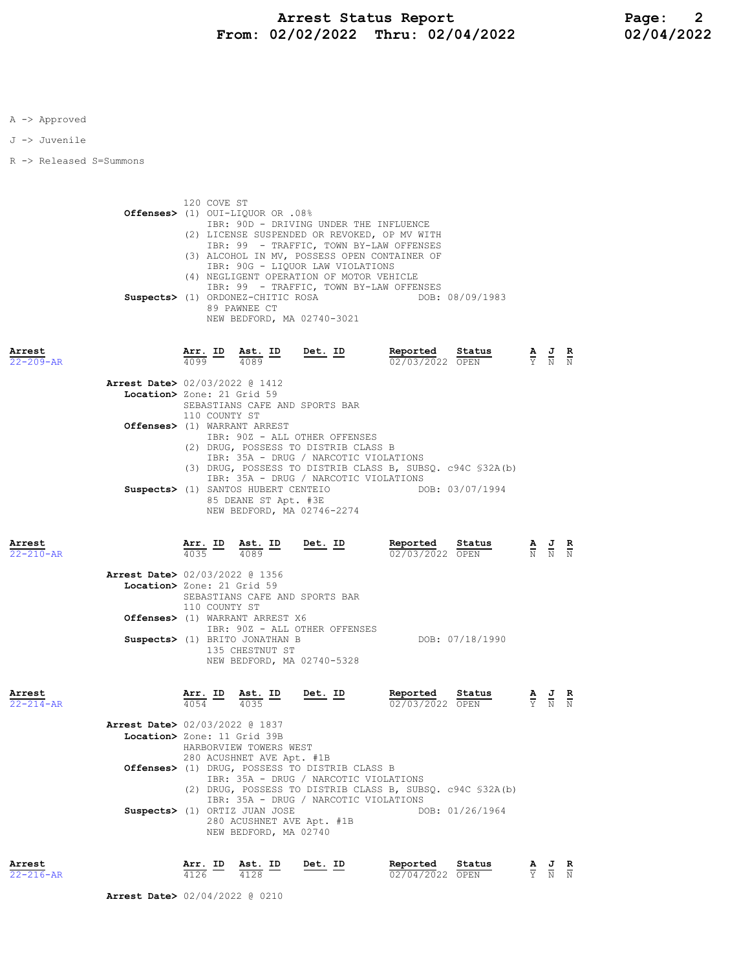A -> Approved

J -> Juvenile

R -> Released S=Summons

 120 COVE ST Offenses> (1) OUI-LIQUOR OR .08% IBR: 90D - DRIVING UNDER THE INFLUENCE (2) LICENSE SUSPENDED OR REVOKED, OP MV WITH IBR: 99 - TRAFFIC, TOWN BY-LAW OFFENSES (3) ALCOHOL IN MV, POSSESS OPEN CONTAINER OF IBR: 90G - LIQUOR LAW VIOLATIONS (4) NEGLIGENT OPERATION OF MOTOR VEHICLE IBR: 99 - TRAFFIC, TOWN BY-LAW OFFENSES Suspects> (1) ORDONEZ-CHITIC ROSA 89 PAWNEE CT NEW BEDFORD, MA 02740-3021

Arrest Arr. ID Ast. ID Det. ID Reported Status A J R 22-209-AR 4099 4089 02/03/2022 OPEN Y N N Arrest Date> 02/03/2022 @ 1412 Location> Zone: 21 Grid 59 SEBASTIANS CAFE AND SPORTS BAR 110 COUNTY ST Offenses> (1) WARRANT ARREST IBR: 90Z - ALL OTHER OFFENSES (2) DRUG, POSSESS TO DISTRIB CLASS B IBR: 35A - DRUG / NARCOTIC VIOLATIONS (3) DRUG, POSSESS TO DISTRIB CLASS B, SUBSQ. c94C §32A(b) IBR: 35A - DRUG / NARCOTIC VIOLATIONS Suspects> (1) SANTOS HUBERT CENTEIO 85 DEANE ST Apt. #3E NEW BEDFORD, MA 02746-2274

| Arrest<br>$22 - 210 - AR$ |                                          | 4035 | Arr. ID Ast. ID<br>4089                   | Det. ID | Reported<br>02/03/2022 OPEN | Status          | A | J<br>$N$ $N$ $N$ | R |
|---------------------------|------------------------------------------|------|-------------------------------------------|---------|-----------------------------|-----------------|---|------------------|---|
|                           | <b>Arrest Date&gt; 02/03/2022 @ 1356</b> |      |                                           |         |                             |                 |   |                  |   |
|                           |                                          |      | Location> Zone: 21 Grid 59                |         |                             |                 |   |                  |   |
|                           |                                          |      | SEBASTIANS CAFE AND SPORTS BAR            |         |                             |                 |   |                  |   |
|                           |                                          |      | 110 COUNTY ST                             |         |                             |                 |   |                  |   |
|                           |                                          |      | <b>Offenses&gt;</b> (1) WARRANT ARREST X6 |         |                             |                 |   |                  |   |
|                           |                                          |      | IBR: 90Z - ALL OTHER OFFENSES             |         |                             |                 |   |                  |   |
|                           |                                          |      | Suspects> (1) BRITO JONATHAN B            |         |                             | DOB: 07/18/1990 |   |                  |   |
|                           |                                          |      | 135 CHESTNUT ST                           |         |                             |                 |   |                  |   |
|                           |                                          |      | NEW BEDFORD, MA 02740-5328                |         |                             |                 |   |                  |   |

Arrest Arr. ID Ast. ID Det. ID Reported Status A J R

| $22 - 214 - AR$ |                                          | 4054 | 4035                          |                                                           | 02/03/2022 OPEN |                 | Y N N |  |
|-----------------|------------------------------------------|------|-------------------------------|-----------------------------------------------------------|-----------------|-----------------|-------|--|
|                 | <b>Arrest Date&gt; 02/03/2022 @ 1837</b> |      |                               |                                                           |                 |                 |       |  |
|                 | Location> Zone: 11 Grid 39B              |      |                               |                                                           |                 |                 |       |  |
|                 |                                          |      | HARBORVIEW TOWERS WEST        |                                                           |                 |                 |       |  |
|                 |                                          |      | 280 ACUSHNET AVE Apt. #1B     |                                                           |                 |                 |       |  |
|                 |                                          |      |                               | <b>Offenses&gt;</b> (1) DRUG, POSSESS TO DISTRIB CLASS B  |                 |                 |       |  |
|                 |                                          |      |                               | IBR: 35A - DRUG / NARCOTIC VIOLATIONS                     |                 |                 |       |  |
|                 |                                          |      |                               | (2) DRUG, POSSESS TO DISTRIB CLASS B, SUBSO. c94C §32A(b) |                 |                 |       |  |
|                 |                                          |      |                               | IBR: 35A - DRUG / NARCOTIC VIOLATIONS                     |                 |                 |       |  |
|                 |                                          |      | Suspects> (1) ORTIZ JUAN JOSE |                                                           |                 | DOB: 01/26/1964 |       |  |
|                 |                                          |      | 280 ACUSHNET AVE Apt. #1B     |                                                           |                 |                 |       |  |
|                 |                                          |      | NEW BEDFORD, MA 02740         |                                                           |                 |                 |       |  |
|                 |                                          |      |                               |                                                           |                 |                 |       |  |

| Arrest          | Arr. ID Ast. ID |      | Det. ID | Reported Status |       | AJR |
|-----------------|-----------------|------|---------|-----------------|-------|-----|
| $22 - 216 - AR$ | 4126            | 4128 |         | 02/04/2022 OPEN | Y N N |     |

Arrest Date> 02/04/2022 @ 0210